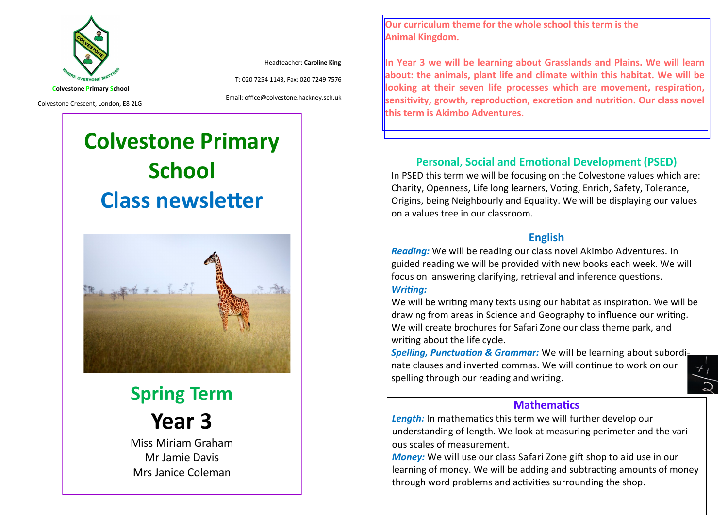

Headteacher: **Caroline King**

T: 020 7254 1143, Fax: 020 7249 7576

Colvestone Crescent, London, E8 2LG

Email: office@colvestone.hackney.sch.uk

# **Colvestone Primary School Class newsletter**



**Spring Term Year 3**

Miss Miriam Graham Mr Jamie Davis Mrs Janice Coleman

**Our curriculum theme for the whole school this term is the Animal Kingdom.**

**In Year 3 we will be learning about Grasslands and Plains. We will learn about: the animals, plant life and climate within this habitat. We will be looking at their seven life processes which are movement, respiration, Sensitivity, growth, reproduction, excretion and nutrition. Our class novel this term is Akimbo Adventures.**

# **Personal, Social and Emotional Development (PSED)**

In PSED this term we will be focusing on the Colvestone values which are: Charity, Openness, Life long learners, Voting, Enrich, Safety, Tolerance, Origins, being Neighbourly and Equality. We will be displaying our values on a values tree in our classroom.

# **English**

*Reading:* We will be reading our class novel Akimbo Adventures. In guided reading we will be provided with new books each week. We will focus on answering clarifying, retrieval and inference questions. *Writing:*

We will be writing many texts using our habitat as inspiration. We will be drawing from areas in Science and Geography to influence our writing. We will create brochures for Safari Zone our class theme park, and writing about the life cycle.

*Spelling, Punctuation & Grammar:* We will be learning about subordinate clauses and inverted commas. We will continue to work on our spelling through our reading and writing.

### **Mathematics**

*Length:* In mathematics this term we will further develop our understanding of length. We look at measuring perimeter and the various scales of measurement.

*Money:* We will use our class Safari Zone gift shop to aid use in our learning of money. We will be adding and subtracting amounts of money through word problems and activities surrounding the shop.